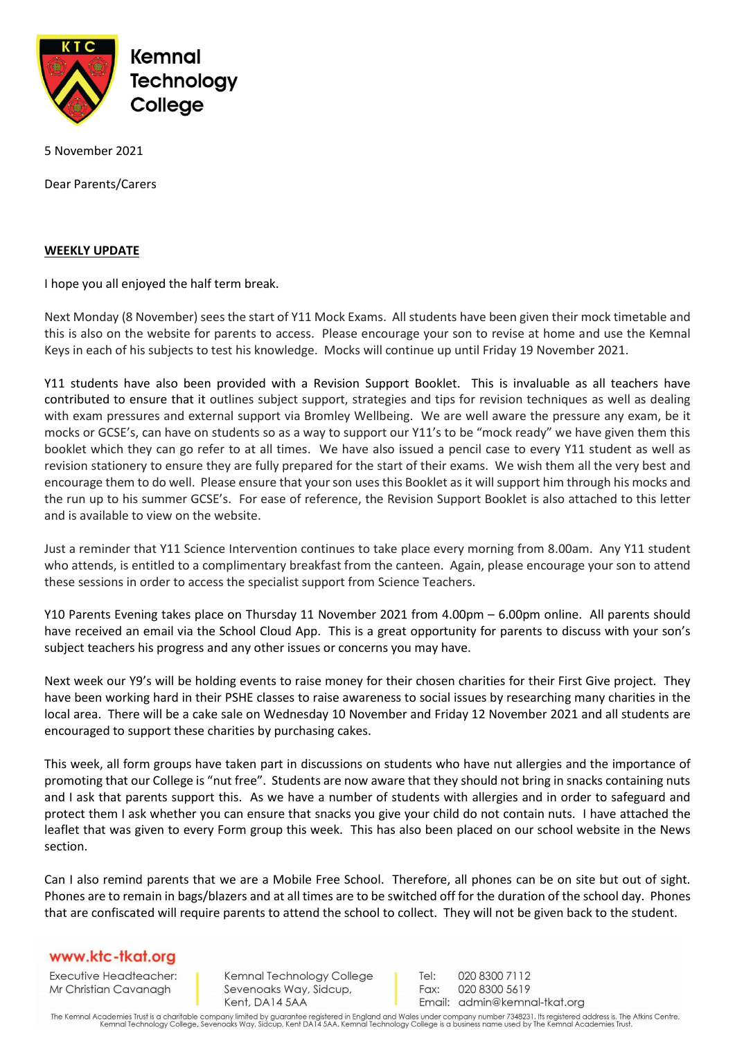

5 November 2021

Dear Parents/Carers

## **WEEKLY UPDATE**

I hope you all enjoyed the half term break.

Next Monday (8 November) sees the start of Y11 Mock Exams. All students have been given their mock timetable and this is also on the website for parents to access. Please encourage your son to revise at home and use the Kemnal Keys in each of his subjects to test his knowledge. Mocks will continue up until Friday 19 November 2021.

Y11 students have also been provided with a Revision Support Booklet. This is invaluable as all teachers have contributed to ensure that it outlines subject support, strategies and tips for revision techniques as well as dealing with exam pressures and external support via Bromley Wellbeing. We are well aware the pressure any exam, be it mocks or GCSE's, can have on students so as a way to support our Y11's to be "mock ready" we have given them this booklet which they can go refer to at all times. We have also issued a pencil case to every Y11 student as well as revision stationery to ensure they are fully prepared for the start of their exams. We wish them all the very best and encourage them to do well. Please ensure that your son uses this Booklet as it will support him through his mocks and the run up to his summer GCSE's. For ease of reference, the Revision Support Booklet is also attached to this letter and is available to view on the website.

Just a reminder that Y11 Science Intervention continues to take place every morning from 8.00am. Any Y11 student who attends, is entitled to a complimentary breakfast from the canteen. Again, please encourage your son to attend these sessions in order to access the specialist support from Science Teachers.

Y10 Parents Evening takes place on Thursday 11 November 2021 from 4.00pm – 6.00pm online. All parents should have received an email via the School Cloud App. This is a great opportunity for parents to discuss with your son's subject teachers his progress and any other issues or concerns you may have.

Next week our Y9's will be holding events to raise money for their chosen charities for their First Give project. They have been working hard in their PSHE classes to raise awareness to social issues by researching many charities in the local area. There will be a cake sale on Wednesday 10 November and Friday 12 November 2021 and all students are encouraged to support these charities by purchasing cakes.

This week, all form groups have taken part in discussions on students who have nut allergies and the importance of promoting that our College is "nut free". Students are now aware that they should not bring in snacks containing nuts and I ask that parents support this. As we have a number of students with allergies and in order to safeguard and protect them I ask whether you can ensure that snacks you give your child do not contain nuts. I have attached the leaflet that was given to every Form group this week. This has also been placed on our school website in the News section.

Can I also remind parents that we are a Mobile Free School. Therefore, all phones can be on site but out of sight. Phones are to remain in bags/blazers and at all times are to be switched off for the duration of the school day. Phones that are confiscated will require parents to attend the school to collect. They will not be given back to the student.

## www.ktc-tkat.org

Executive Headteacher: Mr Christian Cavanagh

Kemnal Technology College Sevenoaks Way, Sidcup, Kent, DA14 5AA

Tel: 020 8300 7112 Fax: 020 8300 5619 Email: admin@kemnal-tkat.org

The Kemnal Academies Trust is a charitable company limited by guarantee registered in England and Wales under company number 7348231. Its registered address is, The Atkins Centre,<br>Kemnal Technology College, Sevenoaks Way,